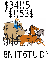# Nine for California Unit Study

Book by Sonia Levitin Unit study written by Lisa Dickinson

## Social Studies

#### Family Heirlooms (Quilts and Trunks) -

The flour sack was made into a family keepsake--a quilt full of emotional memories from their 21-day trip or move West.

If you have any family heirlooms or quilts that you'd like to share with your child, now is the time to consider putting them on display. Do you have a cherished family trunk? You might be surprised to learn some new family history if you ask relatives about trunks; we sure did!

#### State Study

Your child will encounter numerous states throughout the reading of the story. They include: Missouri, Kansas, California, and New Hampshire. Have your child locate each of the states on a United States map. An older student may want to choose one state to research.

#### The California Gold Rush

"There's gold in them there hills!" Gold was found at Sutter's Mill, January 1848. There was more than one Gold Rush in the history of the world, but we are focusing on the famous California Gold Rush because this is where our story takes place.

John Sutter was a rich immigrant from Switzerland. He left Switzerland bankrupt and in debt and came to America with hopes of starting over and succeeding. Sutter and other settlers arrived in Sacramento in the summer of 1839 and created a trading post named "New Helvetia" or "New Switzerland." He obtained some land from the Mexican governor (present day California land) and had big plans of building his own empire or city on these thousands of acres. He built a fort with the help of local natives.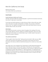Everyone in town knew or worked for John Sutter. He had thousands of cattle, sheep, and acreage. In 1847 he planted 2000 fruit trees.

Sutter hired a friend, James Marshall to build a sawmill. Marshall chose an area by the South Fork American River, which was thick with Pine trees (the right wood for lumber) and perfect for building a working sawmill. One January morning in 1848, while John was working on the mill in the South Fork of the American River he discovered some bits of gold!

Actually, this is debatable. Some books state that workers' children found bits of gold first. He was so excited to tell his friend and boss of his discovery! They met on a rainy night and pulled out the encyclopedia and scales and tested this mineral

Yes, gold was discovered January 24, 1848. John Sutter was very concerned about his fort and his farming; he was already a rich man and the thoughts going through his head were about others inviting themselves onto his land to claim gold as their own! He and James made an agreement not to tell anyone until crops were planted. How can news like that not spread? And spread it did.

This was the beginning of the California Gold Rush. The US government told Mr. Sutter that the title to his land was invalid so he could not claim this gold as his. People came from all over the world to dig for gold. This is why it's nicknamed the "rush."

This disease of greed or hope was contagious and spread worldwide. People had gold fever! Unfortunate for John Sutter, many lawless land squatters and thieves invaded his land.

People traveled to California by foot, boat, or horse. The actual year of the great Gold Rush was 1849. Men traveled for months out west to give gold digging a try and with big hopes of returning home with riches added to their names. Sadly, of the 90,000 who had this dream few actually did strike it rich. At the end of the gold rush \$50,000,000,000 worth of gold was found. The largest chunk of gold found weighed 195 pounds and worth \$43,534.00. Mr. John Sutter and James Marshall were in the common crowd and never did make their fortunes from the Gold Rush days. The prospectors moved east and the Comstock Lode in Nevada was one of the richest discoveries in gold and silver. North into Montana and south into New Mexico gold was also discovered!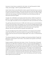## Timeline

If your family uses a timeline, here are some key dates you may want to include:

- 1849 Gold Rush California
- 1852 Wells Fargo Founded
- 1860 Pony Express
- 1866 Wells Fargo owned and operated stage lines.
- 1869 Transcontinental Railroad
- 1906 San Francisco earthquake
- 1918 end of the stage line.

# History of the Water Wheel

Water wheels have been around for thousands of years. A Greek poet mentioned a woman operating a hand mill to grind corn in 4000 BC. During the Augustan Age (11 BC), a Roman engineer named Vituvius wrote about the use of a vertical, more efficient water wheel compared to a horizontal wheel.

Oliver Evans, who lived from 1755-1819 greatly helped the making of the flourmills and the process involved. He influenced and changed the way flour and grain was stored. Did you know flour and grain used to be hoisted through trap doors then carried on people's backs up a set of narrow stairs? The flour was stored on open floors. Common storage was to compress it into a barrel with the bottoms of their muddy boots so they could close the barrels.

# History of the Piggy Bank

Has your child ever wondered where the idea for a piggy bank came from? Nobody actually invented the piggy bank. Pygg is a type of orange clay. Used in the 15<sup>th</sup> century in Old England, potters made all kinds of objects out of pygg, including dishes and jars to keep spare change. By the 18th century the word *pygg* sounded the same as the word for *pig*. Someone made a pygg jar in the shape of a pig.

# Emergency Decision Making

Explain to your children that it is important to not panic and to be obedient in a time of emergency. When the buffalo herd approached the stagecoach, Mama gave everyone a handful of red pepper to throw out the window. This was not cruelty because their lives were in danger. During the robbery Mama signaled to Amanda to get the whistle from the flour sack and Amanda blew as hard as she could three times to distract or scare the robbers. Cowboy Charlie and the Shotgun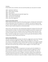rider were able to capture the robbers. Amanda was brave and obedient and did not ask questions.

#### History of Stagecoaches

Stagecoaches were used throughout history as a means of transportation. Stagecoaches were very important part of our American history of over 100 years. 1785, just two years after the Revolutionary War, The United States Mail used stagecoaches to carry mail. In our story, we see the family at a Missouri post office receiving a letter from Pa.

The mail was delivered by Wells Fargo stagecoach. It was always a big ordeal to see the stage in town! Before the stagecoach routes west, it would take up to a year to travel across the country from coast to coast! The stagecoach cut this time down to just 32 days!

There were special rules for those riding on the stagecoaches. Here is one version of the rules:

When a driver asked a passenger to get out and walk, one was advised to do so, and not grumble about it.

If the team of horses ran away, it was better to sit in the coach because most passengers who jumped were seriously injured.

Smoking and spitting on the leeward side of the coach was discouraged.

Drinking spirits was allowed, but passengers were expected to share.

Swearing was not allowed, and neither was sleeping on your neighbor's shoulder.

Travelers shouldn't point out spots where murders had occurred, especially when "delicate" passengers were aboard.

Greasing one's hair was discouraged because dust would stick to it.

Ask your child how he thinks riding in an automobile would compare to riding in a stagecoach. During the era when stagecoaches were used, there was no pavement, windows, seatbelts, or powerful engines. According to the Omaha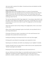Herald in 1877, "Don't imagine for a moment you are going on a picnic. Expect annoyance, discomfort, and some hardships. If you are disappointed, thank heaven."

## Pawnee Indians

The Pawnee Indians have lived on the Plains along the Platte, Loup, and Republican Rivers for 500 years. Their home was central territory of what is now Kansas and Nebraska. Their crops included corn, beans, pumpkin and squash. They depended heavily on their buffalo hunts and corn production. By the 1830s the Pawnee were established in the Nebraska region and numbered 12,000.

# Famous Stagecoach Drivers and Robbers

# 1. "Charlie" Parkhurst

If you are reading *Riding Freedom,* you will know who Charlie Parkhurst really was the first woman voter who drove stagecoaches for her entire life. Charlotte was born in Providence Rhode Island and drove carriages for the gentry.

2. Black Bart

Black Bart was the stagecoach robber name for Charles Earle Bolles.

Charles Bolles was honorably discharged from the Civil war army, educated, and mannerly, known for his politeness. When it came to his side job of robbing stages, he dressed in a long black coat with a flour sack over his head. He would jump out from the tight corners on the routes and demand, "Please throw down the box!" He never robbed or shot at passengers. He never used a horse. He left pieces of his poetry signed with his name as PO8, and he never even had a bullet in his gun!

Sample of Black Bart's poetry:

Let come what may, I'll try it on My condition can't be worse And if there's money in that box, 'Tis money in my purse.

Black Bart The po8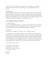He successfully robbed 27 Wells Fargo coaches over a period of 8 years. A Wells Fargo detective, Hume, estimated that Black Bart had successfully stolen \$18,000 from Wells Fargo & Co. plus \$7-8,000 from the mail bags.

When he wasn't robbing stages, he was a prominent mine owner living the good life in San Francisco.

Finally, a Wells Fargo detective was able to trace a dropped handkerchief with initials on it back to his laundry mat in San Francisco. After 18 days of being caught and identified as the criminal, he served four years in the San Quentin Prison in California. Eventually, Black Bart was let off on good behavior. After being released, he disappeared from public.

This was written by Hume in 1885 in a wanted poster:

He, Black Bart, is a person of great endurance, a thorough mountaineer, and a remarkable walker, and claims that he cannot be excelled in making quick transits over mountains and grades; when reading without glasses, holds paper off at arm's length, is comparatively well educated, a general reader, and is well informed on current tendencies, and since his arrest has, upon several occasions, exhibited genuine wit under most trying circumstances. Has made his headquarters in San Francisco for past eight years, has made but a few close friends, and those of first class respectability is extremely proper and polite in behavior, chaste in language, eschews profanity and has never been known to gamble, other than buying pools on horse races and speculating in mining stocks.

#### Language Arts

Vocabulary Heaved -- cast, hurl Jostled -- to run or knock against so as to jar : push roughly Shaft -- one of two poles between which a horse is hitched to pull a vehicle Startled -- to move or jump suddenly Stagecoach -- a coach pulled by horses that carries passengers and mail and runs on a schedule between established stops Twitch -- to move or pull with a sudden motion Lurched -- to roll or tip suddenly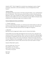Wrung -- to squeeze or twist especially so as to make dry or to rid of moisture or liquid

Lariat -- a rope with a noose used to catch livestock or to tie up grazing animals; also known as a lasso

#### Letter Writing Skills

Pa sent a letter by stagecoach to tell his family to move to California. Ma couldn't pick up her cell phone and call him back, she had to hand write a letter and send it through the United States Mail System, the Post Office.

Practice the old fashioned skill of handwriting a letter to a distant family member. Write about the book you're studying this week and tell them your favorite part of the story.

Review the parts of a letter

There are five main parts to a friendly letter.

1. Heading

The heading gives the date that the letter was written as well as the complete address of the person who is writing the letter.

2. Greeting

The greeting tells to whom the letter is written. The most common greeting is "Dear \_\_\_\_\_\_\_\_\_\_".

It is considered impolite to use only the person's name as a greeting.

3. Body

The body is the letter itself.

4. Closing

The closing is a polite way to say goodbye. (Sincerely, Sincerely Yours, etc.)

5. Signature

The signature is the name of the writer.

You also should discuss (or review) how to address an envelope as well as where to put the stamp. Mail it and see if you get a reply back from your relative.

You may also want to discuss letter writing etiquette and that it is polite to reply to sender in a timely manner.

Your student could also recreate Pa's letter to his family using a dipping pen and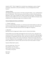calligraphy ink.

## Compound Words

What makes a word a compound word? Two separate words put together as one. Can your student find any compound words in this story?

List of compound words from the story:

stagecoach, shotgun, outlaw, without, goodbye, cowboy, grownups, hummingbird, milkweed

## Literary Devices

Levitin has chosen to include lots of various literary devices to keep her story fresh and fun. Use this opportunity to introduce a specific literary device or to review the ones you've studied in the past.

## Simile

A figure of speech in which things different in kind or quality are compared by the use of the word like or as.

Examples from the book:

As quick as a wink.

We smelled like wet cats.

My stomach rolled over like the wooden wheels of the coach.

We saw brown and shaggy beasts, like a huge dark stain on the fair prairie grasses.

## Repetition

A specific word, phrase, or structure is repeated several times, usually in close proximity, to emphasize a particular idea.

Repetition of words in this story creates rhythm and anticipation. Point out the repetitive sentence the author chose to use. "I wished something would happen. And it did."

Does your student like hearing this phrase over and over throughout the story? Why? How would the story be different without it?

## Alliteration

The repetition of a sound at the beginning of two or more neighboring words (as in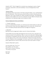wild and woolly or a babbling brook)

"We slept in the stage jostling and jiggling."

Can your student find the example of alliteration in the above sentence? Are there others throughout the story?

Personification The representation of a thing or idea as a person

Examples from the story:

"Beans and prunes acting up." Who is usually accused with acting up? Plants or children? The author chose this phrase in order to make the plants seem like children which adds an element of humor.

"and the long long hours moaning by" Can hours moan? Why did the author use this phrase?

## Exclamation Points

This story uses a lot of exclamation points. Have your child practice reading some of the sentences emphasizing the words in an exclamatory sort of way.

Example: We heard the pounding of horses and terrible yells: "Yip! Yip! Yeeiow! Indians!" shouted Cowboy Charlie.

## Art

#### Creating Movement and Drawing Motion

The cover of a book can tell a lot about what's inside! Our cover is very busy- hinting toward a very busy story! Look at the cover of our book. See if your child can give ideas to hint motion or movement. Here is our list of visual effects:

1. Where are the horses? The driver is holding the reigns; but the horses have moved ahead

- 2. The coach is at an angle going uphill.
- 3. There are sketches around the wheel to hint toward motion and moving.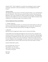4. The title and artist/illustrator is not written in a straight line. Again, we see motion and movement.

Give your child time to recreate a drawing or list more ways the artist shows movement. Throughout the book there are many more examples of motion and movement. Ask your student to find examples.

#### Watercolor Wash

Find the page of traveling at nighttime. Since watercolor is transparent, it is easy to achieve the look of night time by using a large brush and applying a grey tone of watercolor over the entire photo

Let your child experiment with night time water color washes. This is good practice to see lots of water is needed to create the transparency for a wash.

#### Exaggeration

Study the page of the robbers wearing the masks. Notice how the hand is out of perspective. The artist emphasizes the greed of the robbers by exaggerating his hand.

# Applied Math

#### Play Wells Fargo Bank

Most children love to pretend play. You can teach your student different aspects about money as you play Wells Fargo Bank!

Practice teaching your child how to write a check.

Teach your child about loans, bank statements, and credit (what are the benefits and disadvantages of using credit?)

Open a savings account, teach some basics about interest

#### Fractions

The wheel on the stagecoach is fractioned off into 12 pieces. Make a paper wagon wheel and use strips of construction paper to lay on top of the wheel to see the different fraction combinations. Let your child explore fractions using more strips of construction paper see if they can make the wheel into 12 fractions like the wheels on the stagecoach.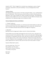## Weight

Travelers were only allowed 25 pounds of luggage. What would you pack? Let your student gather up the items he would want to pack and weigh them on a scale. Would he be allowed on the coach? Have him pare his luggage down until he has a mere 25 pounds.

#### Measurements

Travelers had only 15 inches of sitting space. Measure 15 inches. How many passengers can fit on your couch?

## One Million

Amanda stated, "At the stagecoach stop about a million people came to greet us. One of them was my pa."

We hear people use the word million often. Most of the time it is used as an exaggeration to make a point. Help your child visualize what exactly a million would look like.

Books to read together by John Schwartz *How much is a Million? On Beyond A Million , An Amazing Math Journey Millions to Measure*

One Million looks like this -- 1,000,000

There are one million sugar grains are in a 2-pound bag of sugar. There are one million grains of salt in 1 cup.

How long would it take to count to a million? Well, counting once per second (easy at the start, but tough when you reach the hundred thousand mark), eight hours per day, seven days per week (no weekends off), it would take you a little over a month to count to one million!

#### Math Facts: Nine Family

There were nine people in the stagecoach: three facing forward, three facing backward, three in middle. Let your child learn or review his nine family facts for addition, subtraction, multiplication, or division.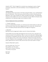## Time

The children would recite what they knew to pass the time. Does your student know how long a minute is? Hour? Day? Week?

Practice these facts: How many minutes in a hour? How many hours in a day? How many days in a week?

#### **Science**

## Gold

The element, gold, is abbreviated on the periodic table as AU. It is a precious, rare, and soft metal found in the earth.

Here are some basic gold facts (from a small book called Start Your Own Gold Rush by Carol Benanti) :

Gold is 19.3 times heavier than water.

Gold is almost indestructible, does not rust, blacken from heat, moldable when melted or flattened when melted. Examples, one square inch of gold can be flattened to the size of a football field! A book with flattened pure gold pages would be 367,000 pages and only be one inch thick!

#### The Nervous System

The nervous system is made up of two parts: nerves and the spinal cord/brain. The spinal cord is actually a very thick mass of nerves inside your spine. Your brain is connected to your spinal cord. The nerves have an important job; they are the message carriers to your brain.

Draw an outline of your body. Add your brain and spinal cord (an older child can add the nerves as well). Orally narrate to someone how your nervous system works. The nervous system lets you know when to sneeze and when to hiccup.

#### Hiccups

No one knows the exact cause of hiccups; but we do know the process. First a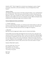nerve sends the message up your spinal cord very quickly. This message makes you automatically gulp in air causing your throat to close. The hiccup sound is the noise of the air hitting your closed throat. Sounds very interesting; but simply remember that you are fearfully and wonderfully made. God designed your body to do this for protection! Review Psalms 139 and write it on the bottom of your hiccup illustration.

Go-along book: *Why I Sneeze, Shiver, Hiccup, and Yawn* by Melvin Berger

## Milkweed

Go on a nature walk this week and find some milkweed. Draw Milkweed in your nature journals.

Milkweed is a plant that is poisonous. Glycosides. There are over 100 species that contain various amounts of toxins. Monarch butterflies lay their eggs on the plant so the caterpillars can begin munching away on the leaves so they can inject the poison into their predators.

## Recipes

Extremely popular in the southern United States, corn pone is an eggless cornbread that is shaped into small 2-3 inch ovals and fried or baked.

## Corn Pone

2 cups white corn meal 1 teaspoon salt 1 1/2 cups *cold* water (or enough to make a soft mixture that can be spooned like pancake batter) 4 tablespoons vegetable oil

Preheat oven to 475\*F (245\*C). Mix corn meal, salt and water. Heat oil in a 9-inch round iron skillet in the hot oven until hot. Carefully spread mixture evenly in hot skillet and spoon some of the fat that comes to the edges up on top of the batter. Bake for about 15 minutes or until golden brown. Broil for the last 2 to 3 minutes to make it extra golden brown and crispy around the edges. Makes 8 servings.

If you want something with a little more flavor: